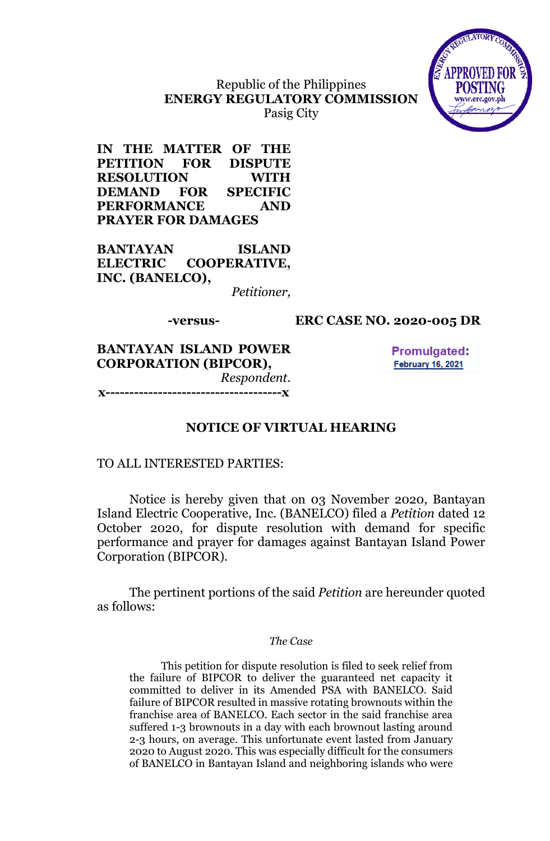

## Republic of the Philippines **ENERGY REGULATORY COMMISSION** Pasig City

**IN THE MATTER OF THE PETITION FOR DISPUTE RESOLUTION WITH DEMAND FOR SPECIFIC PERFORMANCE AND PRAYER FOR DAMAGES**

**BANTAYAN ISLAND ELECTRIC COOPERATIVE, INC. (BANELCO),**

*Petitioner,*

## **-versus- ERC CASE NO. 2020-005 DR**

**BANTAYAN ISLAND POWER CORPORATION (BIPCOR),** *Respondent.* **x-------------------------------------x**

**Promulgated: February 16, 2021** 

## **NOTICE OF VIRTUAL HEARING**

## TO ALL INTERESTED PARTIES:

Notice is hereby given that on 03 November 2020, Bantayan Island Electric Cooperative, Inc. (BANELCO) filed a *Petition* dated 12 October 2020, for dispute resolution with demand for specific performance and prayer for damages against Bantayan Island Power Corporation (BIPCOR).

The pertinent portions of the said *Petition* are hereunder quoted as follows:

#### *The Case*

This petition for dispute resolution is filed to seek relief from the failure of BIPCOR to deliver the guaranteed net capacity it committed to deliver in its Amended PSA with BANELCO. Said failure of BIPCOR resulted in massive rotating brownouts within the franchise area of BANELCO. Each sector in the said franchise area suffered 1-3 brownouts in a day with each brownout lasting around 2-3 hours, on average. This unfortunate event lasted from January 2020 to August 2020. This was especially difficult for the consumers of BANELCO in Bantayan Island and neighboring islands who were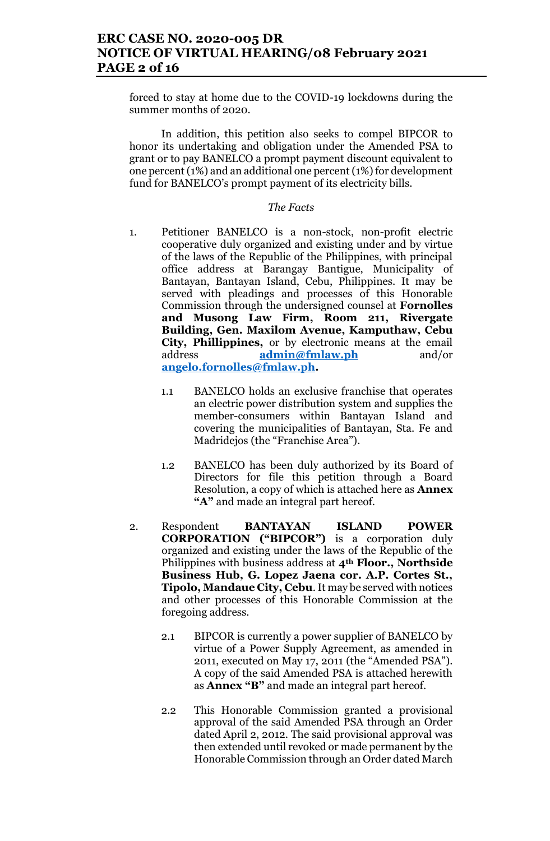forced to stay at home due to the COVID-19 lockdowns during the summer months of 2020.

In addition, this petition also seeks to compel BIPCOR to honor its undertaking and obligation under the Amended PSA to grant or to pay BANELCO a prompt payment discount equivalent to one percent (1%) and an additional one percent (1%) for development fund for BANELCO's prompt payment of its electricity bills.

## *The Facts*

- 1. Petitioner BANELCO is a non-stock, non-profit electric cooperative duly organized and existing under and by virtue of the laws of the Republic of the Philippines, with principal office address at Barangay Bantigue, Municipality of Bantayan, Bantayan Island, Cebu, Philippines. It may be served with pleadings and processes of this Honorable Commission through the undersigned counsel at **Fornolles and Musong Law Firm, Room 211, Rivergate Building, Gen. Maxilom Avenue, Kamputhaw, Cebu City, Phillippines,** or by electronic means at the email address **admin@fmlaw.ph** and/or **angelo.fornolles@fmlaw.ph.**
	- 1.1 BANELCO holds an exclusive franchise that operates an electric power distribution system and supplies the member-consumers within Bantayan Island and covering the municipalities of Bantayan, Sta. Fe and Madridejos (the "Franchise Area").
	- 1.2 BANELCO has been duly authorized by its Board of Directors for file this petition through a Board Resolution, a copy of which is attached here as **Annex "A"** and made an integral part hereof.
- 2. Respondent **BANTAYAN ISLAND POWER CORPORATION ("BIPCOR")** is a corporation duly organized and existing under the laws of the Republic of the Philippines with business address at **4th Floor., Northside Business Hub, G. Lopez Jaena cor. A.P. Cortes St., Tipolo, Mandaue City, Cebu**. It may be served with notices and other processes of this Honorable Commission at the foregoing address.
	- 2.1 BIPCOR is currently a power supplier of BANELCO by virtue of a Power Supply Agreement, as amended in 2011, executed on May 17, 2011 (the "Amended PSA"). A copy of the said Amended PSA is attached herewith as **Annex "B"** and made an integral part hereof.
	- 2.2 This Honorable Commission granted a provisional approval of the said Amended PSA through an Order dated April 2, 2012. The said provisional approval was then extended until revoked or made permanent by the Honorable Commission through an Order dated March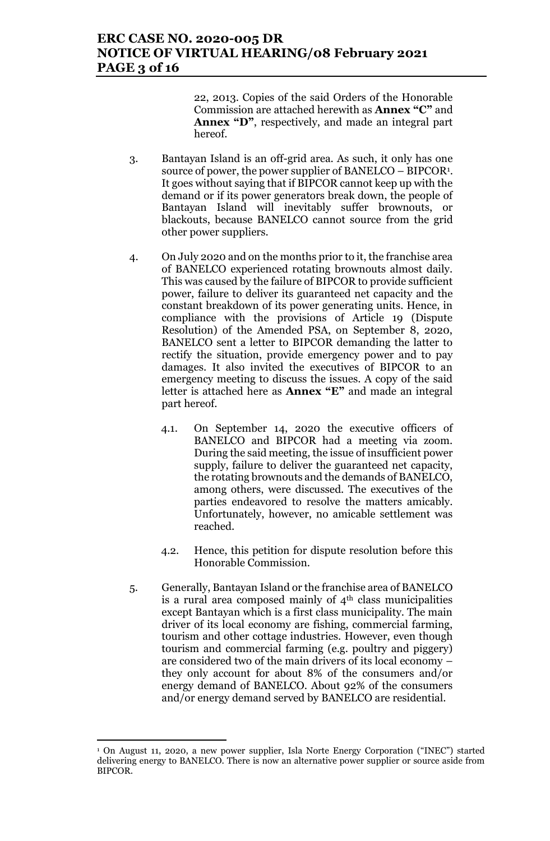## **ERC CASE NO. 2020-005 DR NOTICE OF VIRTUAL HEARING/08 February 2021 PAGE 3 of 16**

22, 2013. Copies of the said Orders of the Honorable Commission are attached herewith as **Annex "C"** and **Annex "D"**, respectively, and made an integral part hereof.

- 3. Bantayan Island is an off-grid area. As such, it only has one source of power, the power supplier of BANELCO – BIPCOR<sup>1</sup> . It goes without saying that if BIPCOR cannot keep up with the demand or if its power generators break down, the people of Bantayan Island will inevitably suffer brownouts, or blackouts, because BANELCO cannot source from the grid other power suppliers.
- 4. On July 2020 and on the months prior to it, the franchise area of BANELCO experienced rotating brownouts almost daily. This was caused by the failure of BIPCOR to provide sufficient power, failure to deliver its guaranteed net capacity and the constant breakdown of its power generating units. Hence, in compliance with the provisions of Article 19 (Dispute Resolution) of the Amended PSA, on September 8, 2020, BANELCO sent a letter to BIPCOR demanding the latter to rectify the situation, provide emergency power and to pay damages. It also invited the executives of BIPCOR to an emergency meeting to discuss the issues. A copy of the said letter is attached here as **Annex "E"** and made an integral part hereof.
	- 4.1. On September 14, 2020 the executive officers of BANELCO and BIPCOR had a meeting via zoom. During the said meeting, the issue of insufficient power supply, failure to deliver the guaranteed net capacity, the rotating brownouts and the demands of BANELCO, among others, were discussed. The executives of the parties endeavored to resolve the matters amicably. Unfortunately, however, no amicable settlement was reached.
	- 4.2. Hence, this petition for dispute resolution before this Honorable Commission.
- 5. Generally, Bantayan Island or the franchise area of BANELCO is a rural area composed mainly of  $4<sup>th</sup>$  class municipalities except Bantayan which is a first class municipality. The main driver of its local economy are fishing, commercial farming, tourism and other cottage industries. However, even though tourism and commercial farming (e.g. poultry and piggery) are considered two of the main drivers of its local economy – they only account for about 8% of the consumers and/or energy demand of BANELCO. About 92% of the consumers and/or energy demand served by BANELCO are residential.

 $\overline{a}$ 

<sup>1</sup> On August 11, 2020, a new power supplier, Isla Norte Energy Corporation ("INEC") started delivering energy to BANELCO. There is now an alternative power supplier or source aside from BIPCOR.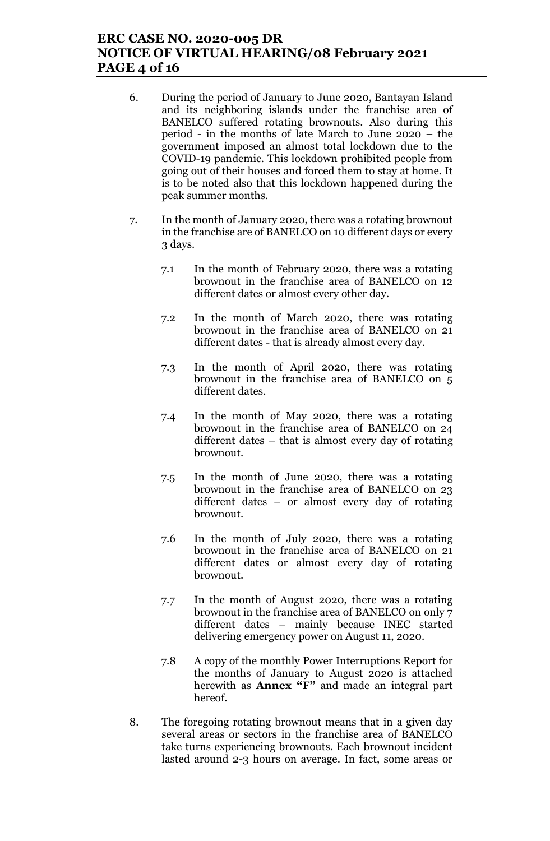# **ERC CASE NO. 2020-005 DR NOTICE OF VIRTUAL HEARING/08 February 2021 PAGE 4 of 16**

- 6. During the period of January to June 2020, Bantayan Island and its neighboring islands under the franchise area of BANELCO suffered rotating brownouts. Also during this period - in the months of late March to June 2020 – the government imposed an almost total lockdown due to the COVID-19 pandemic. This lockdown prohibited people from going out of their houses and forced them to stay at home. It is to be noted also that this lockdown happened during the peak summer months.
- 7. In the month of January 2020, there was a rotating brownout in the franchise are of BANELCO on 10 different days or every 3 days.
	- 7.1 In the month of February 2020, there was a rotating brownout in the franchise area of BANELCO on 12 different dates or almost every other day.
	- 7.2 In the month of March 2020, there was rotating brownout in the franchise area of BANELCO on 21 different dates - that is already almost every day.
	- 7.3 In the month of April 2020, there was rotating brownout in the franchise area of BANELCO on 5 different dates.
	- 7.4 In the month of May 2020, there was a rotating brownout in the franchise area of BANELCO on 24 different dates – that is almost every day of rotating brownout.
	- 7.5 In the month of June 2020, there was a rotating brownout in the franchise area of BANELCO on 23 different dates – or almost every day of rotating brownout.
	- 7.6 In the month of July 2020, there was a rotating brownout in the franchise area of BANELCO on 21 different dates or almost every day of rotating brownout.
	- 7.7 In the month of August 2020, there was a rotating brownout in the franchise area of BANELCO on only 7 different dates – mainly because INEC started delivering emergency power on August 11, 2020.
	- 7.8 A copy of the monthly Power Interruptions Report for the months of January to August 2020 is attached herewith as **Annex "F"** and made an integral part hereof.
- 8. The foregoing rotating brownout means that in a given day several areas or sectors in the franchise area of BANELCO take turns experiencing brownouts. Each brownout incident lasted around 2-3 hours on average. In fact, some areas or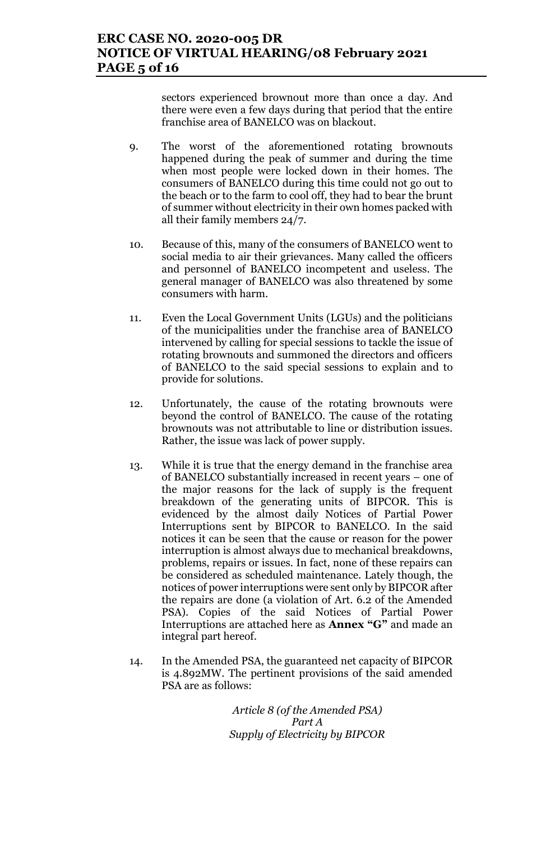sectors experienced brownout more than once a day. And there were even a few days during that period that the entire franchise area of BANELCO was on blackout.

- 9. The worst of the aforementioned rotating brownouts happened during the peak of summer and during the time when most people were locked down in their homes. The consumers of BANELCO during this time could not go out to the beach or to the farm to cool off, they had to bear the brunt of summer without electricity in their own homes packed with all their family members 24/7.
- 10. Because of this, many of the consumers of BANELCO went to social media to air their grievances. Many called the officers and personnel of BANELCO incompetent and useless. The general manager of BANELCO was also threatened by some consumers with harm.
- 11. Even the Local Government Units (LGUs) and the politicians of the municipalities under the franchise area of BANELCO intervened by calling for special sessions to tackle the issue of rotating brownouts and summoned the directors and officers of BANELCO to the said special sessions to explain and to provide for solutions.
- 12. Unfortunately, the cause of the rotating brownouts were beyond the control of BANELCO. The cause of the rotating brownouts was not attributable to line or distribution issues. Rather, the issue was lack of power supply.
- 13. While it is true that the energy demand in the franchise area of BANELCO substantially increased in recent years – one of the major reasons for the lack of supply is the frequent breakdown of the generating units of BIPCOR. This is evidenced by the almost daily Notices of Partial Power Interruptions sent by BIPCOR to BANELCO. In the said notices it can be seen that the cause or reason for the power interruption is almost always due to mechanical breakdowns, problems, repairs or issues. In fact, none of these repairs can be considered as scheduled maintenance. Lately though, the notices of power interruptions were sent only by BIPCOR after the repairs are done (a violation of Art. 6.2 of the Amended PSA). Copies of the said Notices of Partial Power Interruptions are attached here as **Annex "G"** and made an integral part hereof.
- 14. In the Amended PSA, the guaranteed net capacity of BIPCOR is 4.892MW. The pertinent provisions of the said amended PSA are as follows:

*Article 8 (of the Amended PSA) Part A Supply of Electricity by BIPCOR*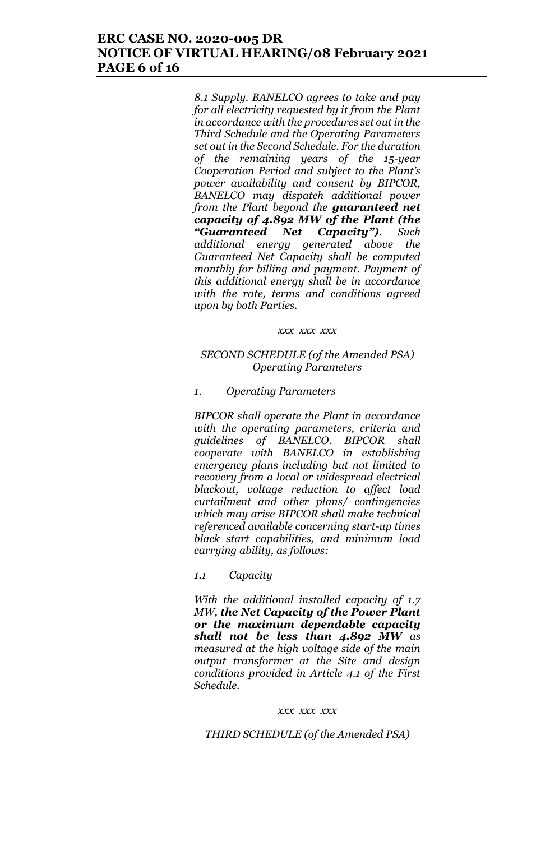## **ERC CASE NO. 2020-005 DR NOTICE OF VIRTUAL HEARING/08 February 2021 PAGE 6 of 16**

*8.1 Supply. BANELCO agrees to take and pay for all electricity requested by it from the Plant in accordance with the procedures set out in the Third Schedule and the Operating Parameters set out in the Second Schedule. For the duration of the remaining years of the 15-year Cooperation Period and subject to the Plant's power availability and consent by BIPCOR, BANELCO may dispatch additional power from the Plant beyond the guaranteed net capacity of 4.892 MW of the Plant (the "Guaranteed Net Capacity"). Such additional energy generated above the Guaranteed Net Capacity shall be computed monthly for billing and payment. Payment of this additional energy shall be in accordance with the rate, terms and conditions agreed upon by both Parties.* 

#### *xxx xxx xxx*

## *SECOND SCHEDULE (of the Amended PSA) Operating Parameters*

#### *1. Operating Parameters*

*BIPCOR shall operate the Plant in accordance with the operating parameters, criteria and guidelines of BANELCO. BIPCOR shall cooperate with BANELCO in establishing emergency plans including but not limited to recovery from a local or widespread electrical blackout, voltage reduction to affect load curtailment and other plans/ contingencies which may arise BIPCOR shall make technical referenced available concerning start-up times black start capabilities, and minimum load carrying ability, as follows:*

## *1.1 Capacity*

*With the additional installed capacity of 1.7 MW, the Net Capacity of the Power Plant or the maximum dependable capacity shall not be less than 4.892 MW as measured at the high voltage side of the main output transformer at the Site and design conditions provided in Article 4.1 of the First Schedule.*

#### *xxx xxx xxx*

### *THIRD SCHEDULE (of the Amended PSA)*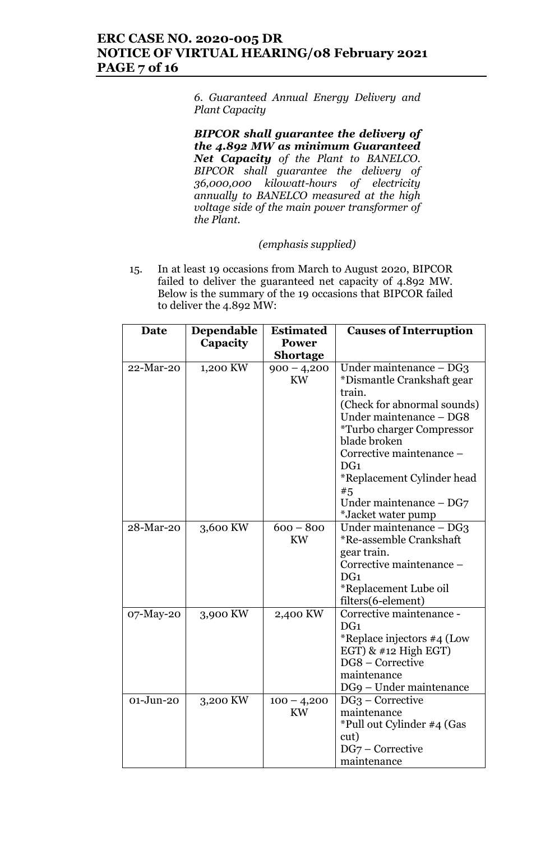# **ERC CASE NO. 2020-005 DR NOTICE OF VIRTUAL HEARING/08 February 2021 PAGE 7 of 16**

*6. Guaranteed Annual Energy Delivery and Plant Capacity*

*BIPCOR shall guarantee the delivery of the 4.892 MW as minimum Guaranteed Net Capacity of the Plant to BANELCO. BIPCOR shall guarantee the delivery of 36,000,000 kilowatt-hours of electricity annually to BANELCO measured at the high voltage side of the main power transformer of the Plant.*

## *(emphasis supplied)*

15. In at least 19 occasions from March to August 2020, BIPCOR failed to deliver the guaranteed net capacity of 4.892 MW. Below is the summary of the 19 occasions that BIPCOR failed to deliver the 4.892 MW:

| <b>Date</b> | Dependable | <b>Estimated</b> | <b>Causes of Interruption</b>                   |
|-------------|------------|------------------|-------------------------------------------------|
|             | Capacity   | <b>Power</b>     |                                                 |
|             |            | Shortage         |                                                 |
| 22-Mar-20   | 1,200 KW   | $900 - 4,200$    | Under maintenance – DG3                         |
|             |            | <b>KW</b>        | *Dismantle Crankshaft gear<br>train.            |
|             |            |                  | (Check for abnormal sounds)                     |
|             |            |                  | Under maintenance - DG8                         |
|             |            |                  | <i>*Turbo charger Compressor</i>                |
|             |            |                  | blade broken                                    |
|             |            |                  | Corrective maintenance -                        |
|             |            |                  | DG <sub>1</sub>                                 |
|             |            |                  | *Replacement Cylinder head                      |
|             |            |                  | #5                                              |
|             |            |                  | Under maintenance $-$ DG7<br>*Jacket water pump |
| 28-Mar-20   | 3,600 KW   | $600 - 800$      | Under maintenance – DG3                         |
|             |            | <b>KW</b>        | *Re-assemble Crankshaft                         |
|             |            |                  | gear train.                                     |
|             |            |                  | Corrective maintenance -                        |
|             |            |                  | DG <sub>1</sub>                                 |
|             |            |                  | *Replacement Lube oil                           |
|             |            |                  | filters(6-element)                              |
| 07-May-20   | 3,900 KW   | 2,400 KW         | Corrective maintenance -                        |
|             |            |                  | DG <sub>1</sub>                                 |
|             |            |                  | *Replace injectors #4 (Low                      |
|             |            |                  | EGT) $&$ #12 High EGT)                          |
|             |            |                  | DG8 - Corrective<br>maintenance                 |
|             |            |                  | DG9 – Under maintenance                         |
| 01-Jun-20   | 3,200 KW   | $100 - 4,200$    | $DG_3$ – Corrective                             |
|             |            | KW               | maintenance                                     |
|             |            |                  | *Pull out Cylinder #4 (Gas                      |
|             |            |                  | cut)                                            |
|             |            |                  | DG7 - Corrective                                |
|             |            |                  | maintenance                                     |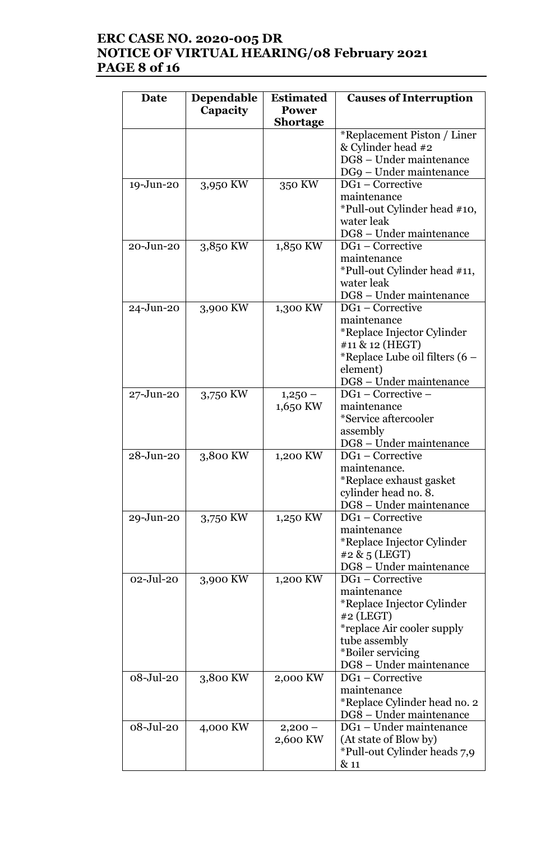# **ERC CASE NO. 2020-005 DR NOTICE OF VIRTUAL HEARING/08 February 2021 PAGE 8 of 16**

| Date          | Dependable<br>Capacity | <b>Estimated</b><br><b>Power</b> | <b>Causes of Interruption</b>               |
|---------------|------------------------|----------------------------------|---------------------------------------------|
|               |                        | <b>Shortage</b>                  |                                             |
|               |                        |                                  | *Replacement Piston / Liner                 |
|               |                        |                                  | & Cylinder head #2                          |
|               |                        |                                  | DG8 - Under maintenance                     |
|               |                        |                                  | DG9 - Under maintenance                     |
| 19-Jun-20     | 3,950 KW               | 350 KW                           | $DG1$ – Corrective                          |
|               |                        |                                  | maintenance                                 |
|               |                        |                                  | *Pull-out Cylinder head #10,                |
|               |                        |                                  | water leak                                  |
|               |                        |                                  | DG8 - Under maintenance<br>DG1 - Corrective |
| 20-Jun-20     | 3,850 KW               | 1,850 KW                         | maintenance                                 |
|               |                        |                                  | *Pull-out Cylinder head #11,                |
|               |                        |                                  | water leak                                  |
|               |                        |                                  | DG8 - Under maintenance                     |
| $24 - Jun-20$ | 3,900 KW               | 1,300 KW                         | $DG1$ – Corrective                          |
|               |                        |                                  | maintenance                                 |
|               |                        |                                  | *Replace Injector Cylinder                  |
|               |                        |                                  | #11 & 12 (HEGT)                             |
|               |                        |                                  | *Replace Lube oil filters (6 –              |
|               |                        |                                  | element)                                    |
|               |                        |                                  | DG8 - Under maintenance                     |
| $27 - Jun-20$ | 3,750 KW               | $1,250-$                         | $DG1 - Corrective -$                        |
|               |                        | 1,650 KW                         | maintenance                                 |
|               |                        |                                  | *Service aftercooler                        |
|               |                        |                                  | assembly                                    |
| 28-Jun-20     | 3,800 KW               |                                  | DG8 - Under maintenance<br>DG1 - Corrective |
|               |                        | 1,200 KW                         | maintenance.                                |
|               |                        |                                  | *Replace exhaust gasket                     |
|               |                        |                                  | cylinder head no. 8.                        |
|               |                        |                                  | DG8 - Under maintenance                     |
| 29-Jun-20     | 3,750 KW               | 1,250 KW                         | $DG1$ – Corrective                          |
|               |                        |                                  | maintenance                                 |
|               |                        |                                  | *Replace Injector Cylinder                  |
|               |                        |                                  | #2 $\&$ 5 (LEGT)                            |
|               |                        |                                  | DG8 - Under maintenance                     |
| $02 -$ Jul-20 | 3,900 KW               | 1,200 KW                         | DG1 - Corrective                            |
|               |                        |                                  | maintenance                                 |
|               |                        |                                  | *Replace Injector Cylinder                  |
|               |                        |                                  | #2 (LEGT)<br>*replace Air cooler supply     |
|               |                        |                                  | tube assembly                               |
|               |                        |                                  | *Boiler servicing                           |
|               |                        |                                  | DG8 - Under maintenance                     |
| 08-Jul-20     | 3,800 KW               | 2,000 KW                         | DG1 - Corrective                            |
|               |                        |                                  | maintenance                                 |
|               |                        |                                  | *Replace Cylinder head no. 2                |
|               |                        |                                  | DG8 - Under maintenance                     |
| 08-Jul-20     | 4,000 KW               | $2,200-$                         | DG1 – Under maintenance                     |
|               |                        | 2,600 KW                         | (At state of Blow by)                       |
|               |                        |                                  | *Pull-out Cylinder heads 7,9                |
|               |                        |                                  | & 11                                        |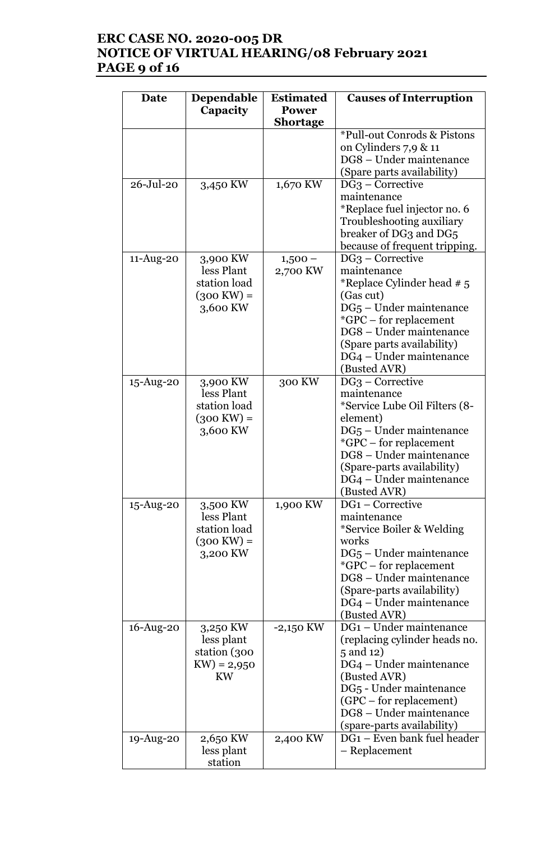# **ERC CASE NO. 2020-005 DR NOTICE OF VIRTUAL HEARING/08 February 2021 PAGE 9 of 16**

| Date            | Dependable<br>Capacity                                                     | <b>Estimated</b><br><b>Power</b><br><b>Shortage</b> | <b>Causes of Interruption</b>                                                                                                                                                                                                                       |
|-----------------|----------------------------------------------------------------------------|-----------------------------------------------------|-----------------------------------------------------------------------------------------------------------------------------------------------------------------------------------------------------------------------------------------------------|
|                 |                                                                            |                                                     | *Pull-out Conrods & Pistons<br>on Cylinders $7,9 \& 11$<br>DG8 - Under maintenance<br>(Spare parts availability)                                                                                                                                    |
| $26 - Jul - 20$ | 3,450 KW                                                                   | 1,670 KW                                            | $DG3 - Corrective$<br>maintenance<br>*Replace fuel injector no. 6<br>Troubleshooting auxiliary<br>breaker of DG3 and DG5<br>because of frequent tripping.                                                                                           |
| $11-Aug-20$     | 3,900 KW<br>less Plant<br>station load<br>$(300 \text{ KW}) =$<br>3,600 KW | $1,500-$<br>2,700 KW                                | $DG_3$ – Corrective<br>maintenance<br>*Replace Cylinder head # 5<br>(Gas cut)<br>$DG5 - Under maintenance$<br>*GPC – for replacement<br>DG8 - Under maintenance<br>(Spare parts availability)<br>DG4 – Under maintenance<br>(Busted AVR)            |
| $15$ -Aug-20    | 3,900 KW<br>less Plant<br>station load<br>$(300 \text{ KW}) =$<br>3,600 KW | 300 KW                                              | $DG_3$ – Corrective<br>maintenance<br>*Service Lube Oil Filters (8-<br>element)<br>$DG5$ – Under maintenance<br>*GPC - for replacement<br>DG8 - Under maintenance<br>(Spare-parts availability)<br>DG4 – Under maintenance<br>(Busted AVR)          |
| $15$ -Aug-20    | 3,500 KW<br>less Plant<br>station load<br>$(300 \text{ KW}) =$<br>3,200 KW | 1,900 KW                                            | DG <sub>1</sub> – Corrective<br>maintenance<br>*Service Boiler & Welding<br>works<br>$DG5 - Under maintenance$<br><i>*GPC</i> – for replacement<br>DG8 - Under maintenance<br>(Spare-parts availability)<br>DG4 – Under maintenance<br>(Busted AVR) |
| 16-Aug-20       | 3,250 KW<br>less plant<br>station (300<br>$KW) = 2,950$<br><b>KW</b>       | $-2,150$ KW                                         | DG1 - Under maintenance<br>(replacing cylinder heads no.<br>5 and 12)<br>DG4 – Under maintenance<br>(Busted AVR)<br>DG <sub>5</sub> - Under maintenance<br>(GPC – for replacement)<br>DG8 - Under maintenance<br>(spare-parts availability)         |
| $19$ -Aug-20    | 2,650 KW<br>less plant<br>station                                          | 2,400 KW                                            | DG1 - Even bank fuel header<br>- Replacement                                                                                                                                                                                                        |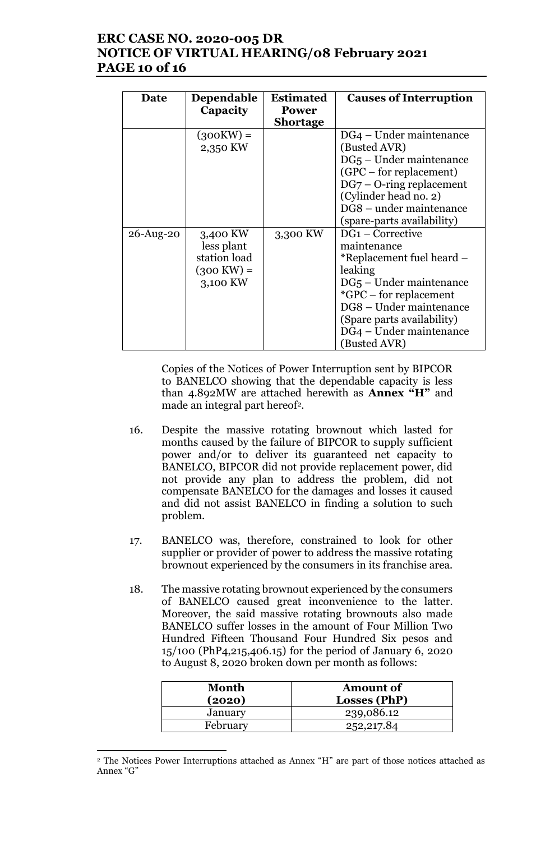# **ERC CASE NO. 2020-005 DR NOTICE OF VIRTUAL HEARING/08 February 2021 PAGE 10 of 16**

| Date      | <b>Dependable</b>    | <b>Estimated</b> | <b>Causes of Interruption</b>       |
|-----------|----------------------|------------------|-------------------------------------|
|           | Capacity             | <b>Power</b>     |                                     |
|           |                      | <b>Shortage</b>  |                                     |
|           | $(300KW) =$          |                  | DG4 – Under maintenance             |
|           | 2,350 KW             |                  | (Busted AVR)                        |
|           |                      |                  | $DG5$ – Under maintenance           |
|           |                      |                  | (GPC – for replacement)             |
|           |                      |                  | $DG7 - O-ring replacement$          |
|           |                      |                  | (Cylinder head no. 2)               |
|           |                      |                  | DG8 – under maintenance             |
|           |                      |                  | (spare-parts availability)          |
| 26-Aug-20 | 3,400 KW             | 3,300 KW         | $DG1$ – Corrective                  |
|           | less plant           |                  | maintenance                         |
|           | station load         |                  | *Replacement fuel heard –           |
|           | $(300 \text{ KW}) =$ |                  | leaking                             |
|           | 3,100 KW             |                  | DG <sub>5</sub> – Under maintenance |
|           |                      |                  | *GPC – for replacement              |
|           |                      |                  | DG8 - Under maintenance             |
|           |                      |                  | (Spare parts availability)          |
|           |                      |                  | DG4 - Under maintenance             |
|           |                      |                  | (Busted AVR)                        |

Copies of the Notices of Power Interruption sent by BIPCOR to BANELCO showing that the dependable capacity is less than 4.892MW are attached herewith as **Annex "H"** and made an integral part hereof<sup>2</sup>.

- 16. Despite the massive rotating brownout which lasted for months caused by the failure of BIPCOR to supply sufficient power and/or to deliver its guaranteed net capacity to BANELCO, BIPCOR did not provide replacement power, did not provide any plan to address the problem, did not compensate BANELCO for the damages and losses it caused and did not assist BANELCO in finding a solution to such problem.
- 17. BANELCO was, therefore, constrained to look for other supplier or provider of power to address the massive rotating brownout experienced by the consumers in its franchise area.
- 18. The massive rotating brownout experienced by the consumers of BANELCO caused great inconvenience to the latter. Moreover, the said massive rotating brownouts also made BANELCO suffer losses in the amount of Four Million Two Hundred Fifteen Thousand Four Hundred Six pesos and 15/100 (PhP4,215,406.15) for the period of January 6, 2020 to August 8, 2020 broken down per month as follows:

| Month<br>(2020) | <b>Amount of</b><br>Losses (PhP) |
|-----------------|----------------------------------|
| January         | 239,086.12                       |
| February        | 252,217.84                       |

<sup>2</sup> The Notices Power Interruptions attached as Annex "H" are part of those notices attached as Annex "G"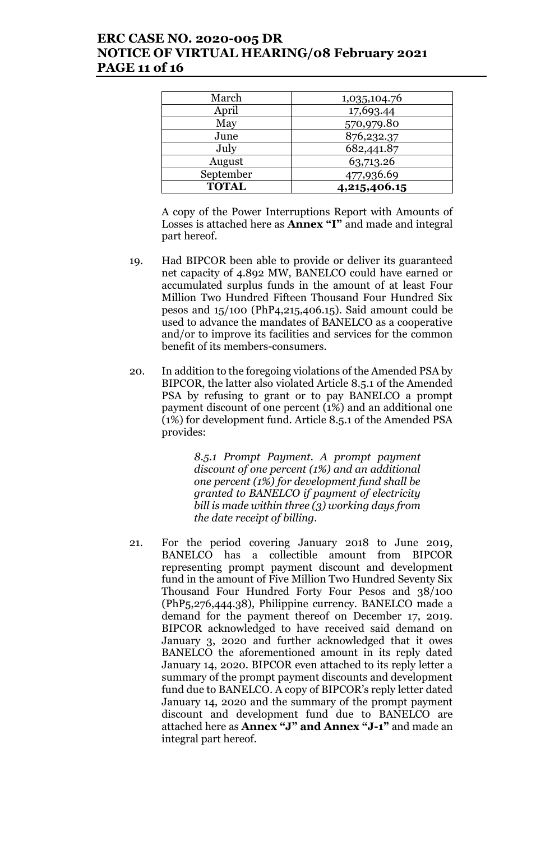# **ERC CASE NO. 2020-005 DR NOTICE OF VIRTUAL HEARING/08 February 2021 PAGE 11 of 16**

| March        | 1,035,104.76 |  |
|--------------|--------------|--|
| April        | 17,693.44    |  |
| May          | 570,979.80   |  |
| June         | 876,232.37   |  |
| July         | 682,441.87   |  |
| August       | 63,713.26    |  |
| September    | 477,936.69   |  |
| <b>TOTAL</b> | 4,215,406.15 |  |

A copy of the Power Interruptions Report with Amounts of Losses is attached here as **Annex "I"** and made and integral part hereof.

- 19. Had BIPCOR been able to provide or deliver its guaranteed net capacity of 4.892 MW, BANELCO could have earned or accumulated surplus funds in the amount of at least Four Million Two Hundred Fifteen Thousand Four Hundred Six pesos and 15/100 (PhP4,215,406.15). Said amount could be used to advance the mandates of BANELCO as a cooperative and/or to improve its facilities and services for the common benefit of its members-consumers.
- 20. In addition to the foregoing violations of the Amended PSA by BIPCOR, the latter also violated Article 8.5.1 of the Amended PSA by refusing to grant or to pay BANELCO a prompt payment discount of one percent (1%) and an additional one (1%) for development fund. Article 8.5.1 of the Amended PSA provides:

*8.5.1 Prompt Payment. A prompt payment discount of one percent (1%) and an additional one percent (1%) for development fund shall be granted to BANELCO if payment of electricity bill is made within three (3) working days from the date receipt of billing.* 

21. For the period covering January 2018 to June 2019, BANELCO has a collectible amount from BIPCOR representing prompt payment discount and development fund in the amount of Five Million Two Hundred Seventy Six Thousand Four Hundred Forty Four Pesos and 38/100 (PhP5,276,444.38), Philippine currency. BANELCO made a demand for the payment thereof on December 17, 2019. BIPCOR acknowledged to have received said demand on January 3, 2020 and further acknowledged that it owes BANELCO the aforementioned amount in its reply dated January 14, 2020. BIPCOR even attached to its reply letter a summary of the prompt payment discounts and development fund due to BANELCO. A copy of BIPCOR's reply letter dated January 14, 2020 and the summary of the prompt payment discount and development fund due to BANELCO are attached here as **Annex "J" and Annex "J-1"** and made an integral part hereof.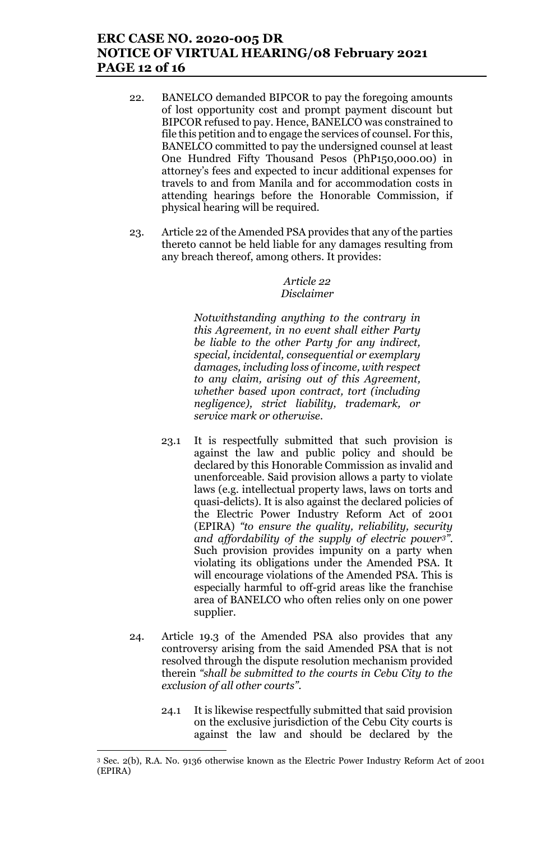# **ERC CASE NO. 2020-005 DR NOTICE OF VIRTUAL HEARING/08 February 2021 PAGE 12 of 16**

- 22. BANELCO demanded BIPCOR to pay the foregoing amounts of lost opportunity cost and prompt payment discount but BIPCOR refused to pay. Hence, BANELCO was constrained to file this petition and to engage the services of counsel. For this, BANELCO committed to pay the undersigned counsel at least One Hundred Fifty Thousand Pesos (PhP150,000.00) in attorney's fees and expected to incur additional expenses for travels to and from Manila and for accommodation costs in attending hearings before the Honorable Commission, if physical hearing will be required.
- 23. Article 22 of the Amended PSA provides that any of the parties thereto cannot be held liable for any damages resulting from any breach thereof, among others. It provides:

## *Article 22 Disclaimer*

*Notwithstanding anything to the contrary in this Agreement, in no event shall either Party be liable to the other Party for any indirect, special, incidental, consequential or exemplary damages, including loss of income, with respect to any claim, arising out of this Agreement, whether based upon contract, tort (including negligence), strict liability, trademark, or service mark or otherwise.* 

- 23.1 It is respectfully submitted that such provision is against the law and public policy and should be declared by this Honorable Commission as invalid and unenforceable. Said provision allows a party to violate laws (e.g. intellectual property laws, laws on torts and quasi-delicts). It is also against the declared policies of the Electric Power Industry Reform Act of 2001 (EPIRA) *"to ensure the quality, reliability, security and affordability of the supply of electric power3".*  Such provision provides impunity on a party when violating its obligations under the Amended PSA. It will encourage violations of the Amended PSA. This is especially harmful to off-grid areas like the franchise area of BANELCO who often relies only on one power supplier.
- 24. Article 19.3 of the Amended PSA also provides that any controversy arising from the said Amended PSA that is not resolved through the dispute resolution mechanism provided therein *"shall be submitted to the courts in Cebu City to the exclusion of all other courts".* 
	- 24.1 It is likewise respectfully submitted that said provision on the exclusive jurisdiction of the Cebu City courts is against the law and should be declared by the

<sup>3</sup> Sec. 2(b), R.A. No. 9136 otherwise known as the Electric Power Industry Reform Act of 2001 (EPIRA)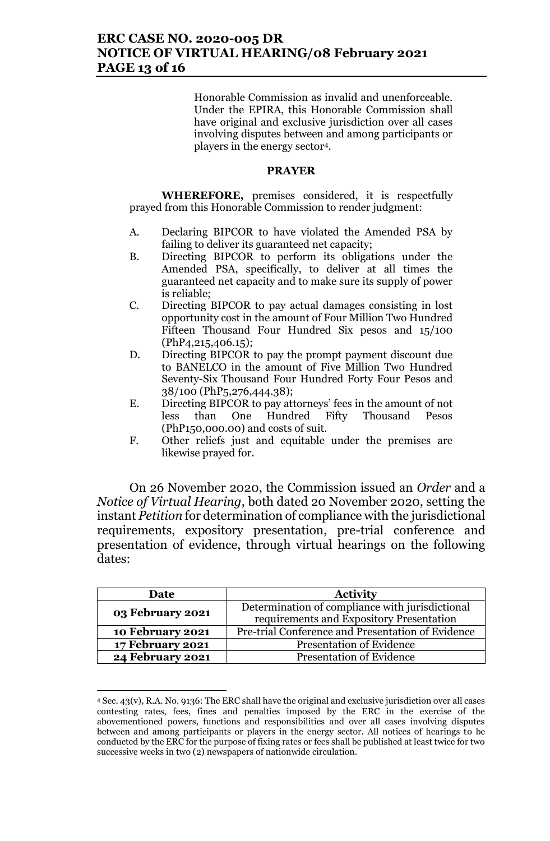## **ERC CASE NO. 2020-005 DR NOTICE OF VIRTUAL HEARING/08 February 2021 PAGE 13 of 16**

Honorable Commission as invalid and unenforceable. Under the EPIRA, this Honorable Commission shall have original and exclusive jurisdiction over all cases involving disputes between and among participants or players in the energy sector4.

## **PRAYER**

**WHEREFORE,** premises considered, it is respectfully prayed from this Honorable Commission to render judgment:

- A. Declaring BIPCOR to have violated the Amended PSA by failing to deliver its guaranteed net capacity;
- B. Directing BIPCOR to perform its obligations under the Amended PSA, specifically, to deliver at all times the guaranteed net capacity and to make sure its supply of power is reliable;
- C. Directing BIPCOR to pay actual damages consisting in lost opportunity cost in the amount of Four Million Two Hundred Fifteen Thousand Four Hundred Six pesos and 15/100 (PhP4,215,406.15);
- D. Directing BIPCOR to pay the prompt payment discount due to BANELCO in the amount of Five Million Two Hundred Seventy-Six Thousand Four Hundred Forty Four Pesos and 38/100 (PhP5,276,444.38);
- E. Directing BIPCOR to pay attorneys' fees in the amount of not less than One Hundred Fifty Thousand Pesos (PhP150,000.00) and costs of suit.
- F. Other reliefs just and equitable under the premises are likewise prayed for.

On 26 November 2020, the Commission issued an *Order* and a *Notice of Virtual Hearing*, both dated 20 November 2020, setting the instant *Petition* for determination of compliance with the jurisdictional requirements, expository presentation, pre-trial conference and presentation of evidence, through virtual hearings on the following dates:

| Date                    | <b>Activity</b>                                   |  |
|-------------------------|---------------------------------------------------|--|
| 03 February 2021        | Determination of compliance with jurisdictional   |  |
|                         | requirements and Expository Presentation          |  |
| 10 February 2021        | Pre-trial Conference and Presentation of Evidence |  |
| 17 February 2021        | <b>Presentation of Evidence</b>                   |  |
| <b>24 February 2021</b> | <b>Presentation of Evidence</b>                   |  |

<sup>4</sup> Sec. 43(v), R.A. No. 9136: The ERC shall have the original and exclusive jurisdiction over all cases contesting rates, fees, fines and penalties imposed by the ERC in the exercise of the abovementioned powers, functions and responsibilities and over all cases involving disputes between and among participants or players in the energy sector. All notices of hearings to be conducted by the ERC for the purpose of fixing rates or fees shall be published at least twice for two successive weeks in two (2) newspapers of nationwide circulation.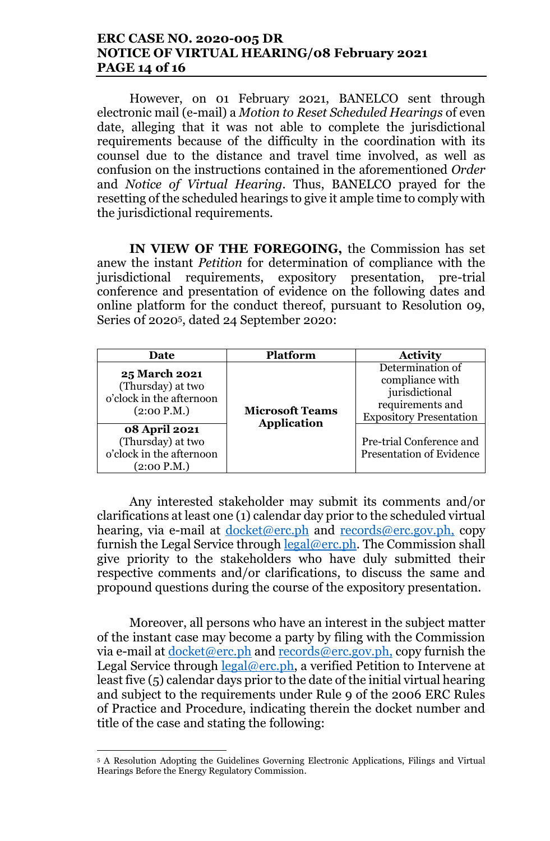## **ERC CASE NO. 2020-005 DR NOTICE OF VIRTUAL HEARING/08 February 2021 PAGE 14 of 16**

However, on 01 February 2021, BANELCO sent through electronic mail (e-mail) a *Motion to Reset Scheduled Hearings* of even date, alleging that it was not able to complete the jurisdictional requirements because of the difficulty in the coordination with its counsel due to the distance and travel time involved, as well as confusion on the instructions contained in the aforementioned *Order*  and *Notice of Virtual Hearing*. Thus, BANELCO prayed for the resetting of the scheduled hearings to give it ample time to comply with the jurisdictional requirements.

**IN VIEW OF THE FOREGOING,** the Commission has set anew the instant *Petition* for determination of compliance with the jurisdictional requirements, expository presentation, pre-trial conference and presentation of evidence on the following dates and online platform for the conduct thereof, pursuant to Resolution 09, Series 0f 20205, dated 24 September 2020:

| Date                                                                                 | <b>Platform</b>        | <b>Activity</b>                                                                                             |
|--------------------------------------------------------------------------------------|------------------------|-------------------------------------------------------------------------------------------------------------|
| <b>25 March 2021</b><br>(Thursday) at two<br>o'clock in the afternoon<br>(2:00 P.M.) | <b>Microsoft Teams</b> | Determination of<br>compliance with<br>jurisdictional<br>requirements and<br><b>Expository Presentation</b> |
| <b>08 April 2021</b><br>(Thursday) at two<br>o'clock in the afternoon<br>(2:00 P.M.) | <b>Application</b>     | Pre-trial Conference and<br><b>Presentation of Evidence</b>                                                 |

Any interested stakeholder may submit its comments and/or clarifications at least one (1) calendar day prior to the scheduled virtual hearing, via e-mail at <u>docket@erc.ph</u> and <u>records@erc.gov.ph</u>, copy furnish the Legal Service through legal@erc.ph. The Commission shall give priority to the stakeholders who have duly submitted their respective comments and/or clarifications, to discuss the same and propound questions during the course of the expository presentation.

Moreover, all persons who have an interest in the subject matter of the instant case may become a party by filing with the Commission via e-mail at docket@erc.ph and records@erc.gov.ph, copy furnish the Legal Service through  $\text{legal@erc.ph}$ , a verified Petition to Intervene at least five (5) calendar days prior to the date of the initial virtual hearing and subject to the requirements under Rule 9 of the 2006 ERC Rules of Practice and Procedure, indicating therein the docket number and title of the case and stating the following:

<sup>5</sup> A Resolution Adopting the Guidelines Governing Electronic Applications, Filings and Virtual Hearings Before the Energy Regulatory Commission.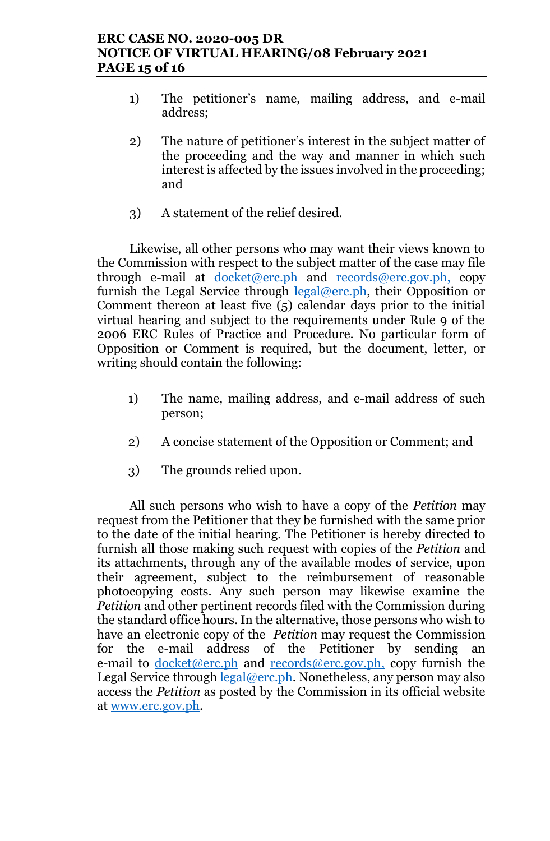# **ERC CASE NO. 2020-005 DR NOTICE OF VIRTUAL HEARING/08 February 2021 PAGE 15 of 16**

- 1) The petitioner's name, mailing address, and e-mail address;
- 2) The nature of petitioner's interest in the subject matter of the proceeding and the way and manner in which such interest is affected by the issues involved in the proceeding; and
- 3) A statement of the relief desired.

Likewise, all other persons who may want their views known to the Commission with respect to the subject matter of the case may file through e-mail at <u>docket@erc.ph</u> and records@erc.gov.ph, copy furnish the Legal Service through  $legal@erc.ph$ , their Opposition or Comment thereon at least five (5) calendar days prior to the initial virtual hearing and subject to the requirements under Rule 9 of the 2006 ERC Rules of Practice and Procedure. No particular form of Opposition or Comment is required, but the document, letter, or writing should contain the following:

- 1) The name, mailing address, and e-mail address of such person;
- 2) A concise statement of the Opposition or Comment; and
- 3) The grounds relied upon.

All such persons who wish to have a copy of the *Petition* may request from the Petitioner that they be furnished with the same prior to the date of the initial hearing. The Petitioner is hereby directed to furnish all those making such request with copies of the *Petition* and its attachments, through any of the available modes of service, upon their agreement, subject to the reimbursement of reasonable photocopying costs. Any such person may likewise examine the *Petition* and other pertinent records filed with the Commission during the standard office hours. In the alternative, those persons who wish to have an electronic copy of the *Petition* may request the Commission for the e-mail address of the Petitioner by sending an e-mail to docket@erc.ph and records@erc.gov.ph, copy furnish the Legal Service through legal@erc.ph. Nonetheless, any person may also access the *Petition* as posted by the Commission in its official website at www.erc.gov.ph.